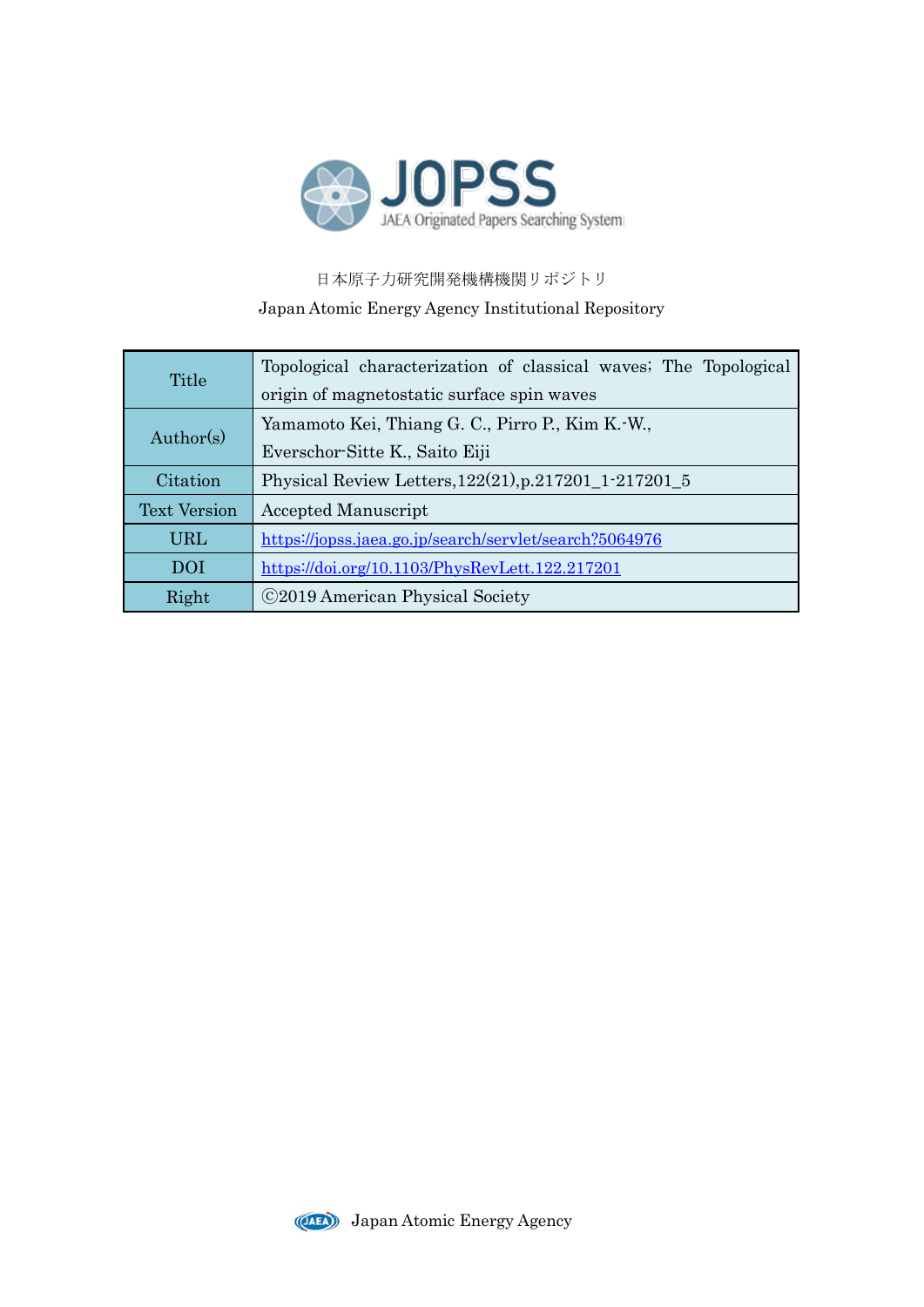

日本原子力研究開発機構機関リポジトリ Japan Atomic Energy Agency Institutional Repository

| Title               | Topological characterization of classical waves; The Topological |
|---------------------|------------------------------------------------------------------|
|                     | origin of magnetostatic surface spin waves                       |
| Author(s)           | Yamamoto Kei, Thiang G. C., Pirro P., Kim K.-W.,                 |
|                     | Everschor-Sitte K., Saito Eiji                                   |
| Citation            | Physical Review Letters, 122(21), p.217201_1-217201_5            |
| <b>Text Version</b> | <b>Accepted Manuscript</b>                                       |
| <b>URL</b>          | https://jopss.jaea.go.jp/search/servlet/search?5064976           |
| DOI                 | https://doi.org/10.1103/PhysRevLett.122.217201                   |
| Right               | ©2019 American Physical Society                                  |

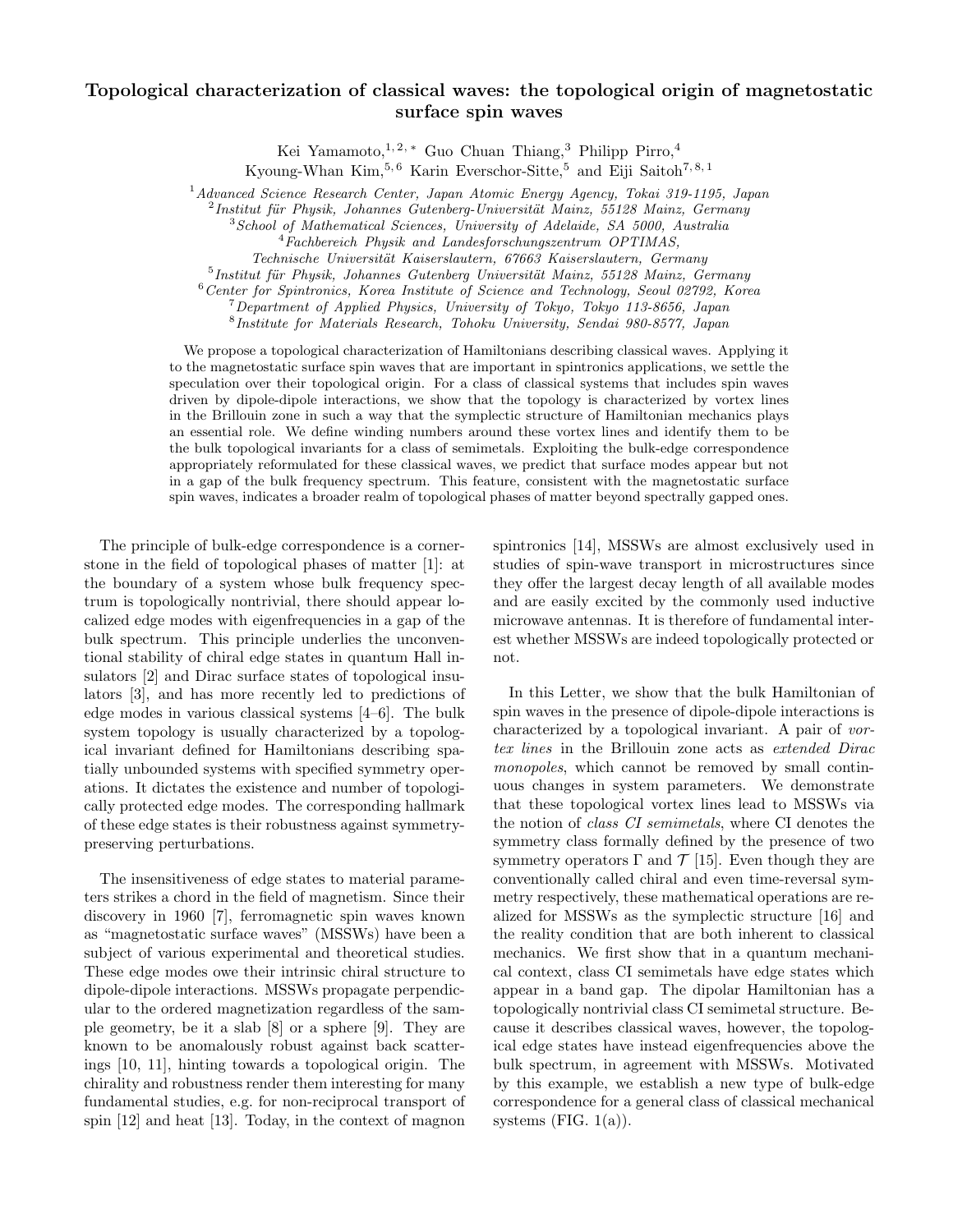## Topological characterization of classical waves: the topological origin of magnetostatic surface spin waves

Kei Yamamoto,<sup>1, 2, ∗</sup> Guo Chuan Thiang,<sup>3</sup> Philipp Pirro,<sup>4</sup>

Kyoung-Whan Kim,  $5, 6$  Karin Everschor-Sitte,  $5$  and Eiji Saitoh  $7, 8, 1$ 

<sup>1</sup> Advanced Science Research Center, Japan Atomic Energy Agency, Tokai 319-1195, Japan

 $^{2}$ Institut für Physik, Johannes Gutenberg-Universität Mainz, 55128 Mainz, Germany

Technische Universität Kaiserslautern, 67663 Kaiserslautern, Germany

 $<sup>5</sup>$ Institut für Physik, Johannes Gutenberg Universität Mainz, 55128 Mainz, Germany</sup>

<sup>6</sup>Center for Spintronics, Korea Institute of Science and Technology, Seoul 02792, Korea

<sup>7</sup>Department of Applied Physics, University of Tokyo, Tokyo 113-8656, Japan

8 Institute for Materials Research, Tohoku University, Sendai 980-8577, Japan

We propose a topological characterization of Hamiltonians describing classical waves. Applying it to the magnetostatic surface spin waves that are important in spintronics applications, we settle the speculation over their topological origin. For a class of classical systems that includes spin waves driven by dipole-dipole interactions, we show that the topology is characterized by vortex lines in the Brillouin zone in such a way that the symplectic structure of Hamiltonian mechanics plays an essential role. We define winding numbers around these vortex lines and identify them to be the bulk topological invariants for a class of semimetals. Exploiting the bulk-edge correspondence appropriately reformulated for these classical waves, we predict that surface modes appear but not in a gap of the bulk frequency spectrum. This feature, consistent with the magnetostatic surface spin waves, indicates a broader realm of topological phases of matter beyond spectrally gapped ones.

The principle of bulk-edge correspondence is a cornerstone in the field of topological phases of matter [1]: at the boundary of a system whose bulk frequency spectrum is topologically nontrivial, there should appear localized edge modes with eigenfrequencies in a gap of the bulk spectrum. This principle underlies the unconventional stability of chiral edge states in quantum Hall insulators [2] and Dirac surface states of topological insulators [3], and has more recently led to predictions of edge modes in various classical systems [4–6]. The bulk system topology is usually characterized by a topological invariant defined for Hamiltonians describing spatially unbounded systems with specified symmetry operations. It dictates the existence and number of topologically protected edge modes. The corresponding hallmark of these edge states is their robustness against symmetrypreserving perturbations.

The insensitiveness of edge states to material parameters strikes a chord in the field of magnetism. Since their discovery in 1960 [7], ferromagnetic spin waves known as "magnetostatic surface waves" (MSSWs) have been a subject of various experimental and theoretical studies. These edge modes owe their intrinsic chiral structure to dipole-dipole interactions. MSSWs propagate perpendicular to the ordered magnetization regardless of the sample geometry, be it a slab [8] or a sphere [9]. They are known to be anomalously robust against back scatterings [10, 11], hinting towards a topological origin. The chirality and robustness render them interesting for many fundamental studies, e.g. for non-reciprocal transport of spin [12] and heat [13]. Today, in the context of magnon

spintronics [14], MSSWs are almost exclusively used in studies of spin-wave transport in microstructures since they offer the largest decay length of all available modes and are easily excited by the commonly used inductive microwave antennas. It is therefore of fundamental interest whether MSSWs are indeed topologically protected or not.

In this Letter, we show that the bulk Hamiltonian of spin waves in the presence of dipole-dipole interactions is characterized by a topological invariant. A pair of vortex lines in the Brillouin zone acts as extended Dirac monopoles, which cannot be removed by small continuous changes in system parameters. We demonstrate that these topological vortex lines lead to MSSWs via the notion of class CI semimetals, where CI denotes the symmetry class formally defined by the presence of two symmetry operators  $\Gamma$  and  $\mathcal{T}$  [15]. Even though they are conventionally called chiral and even time-reversal symmetry respectively, these mathematical operations are realized for MSSWs as the symplectic structure [16] and the reality condition that are both inherent to classical mechanics. We first show that in a quantum mechanical context, class CI semimetals have edge states which appear in a band gap. The dipolar Hamiltonian has a topologically nontrivial class CI semimetal structure. Because it describes classical waves, however, the topological edge states have instead eigenfrequencies above the bulk spectrum, in agreement with MSSWs. Motivated by this example, we establish a new type of bulk-edge correspondence for a general class of classical mechanical systems (FIG.  $1(a)$ ).

<sup>&</sup>lt;sup>3</sup> School of Mathematical Sciences, University of Adelaide, SA 5000, Australia

 $4\textit{Fachbereich Physik}$  and Landesforschungszentrum OPTIMAS,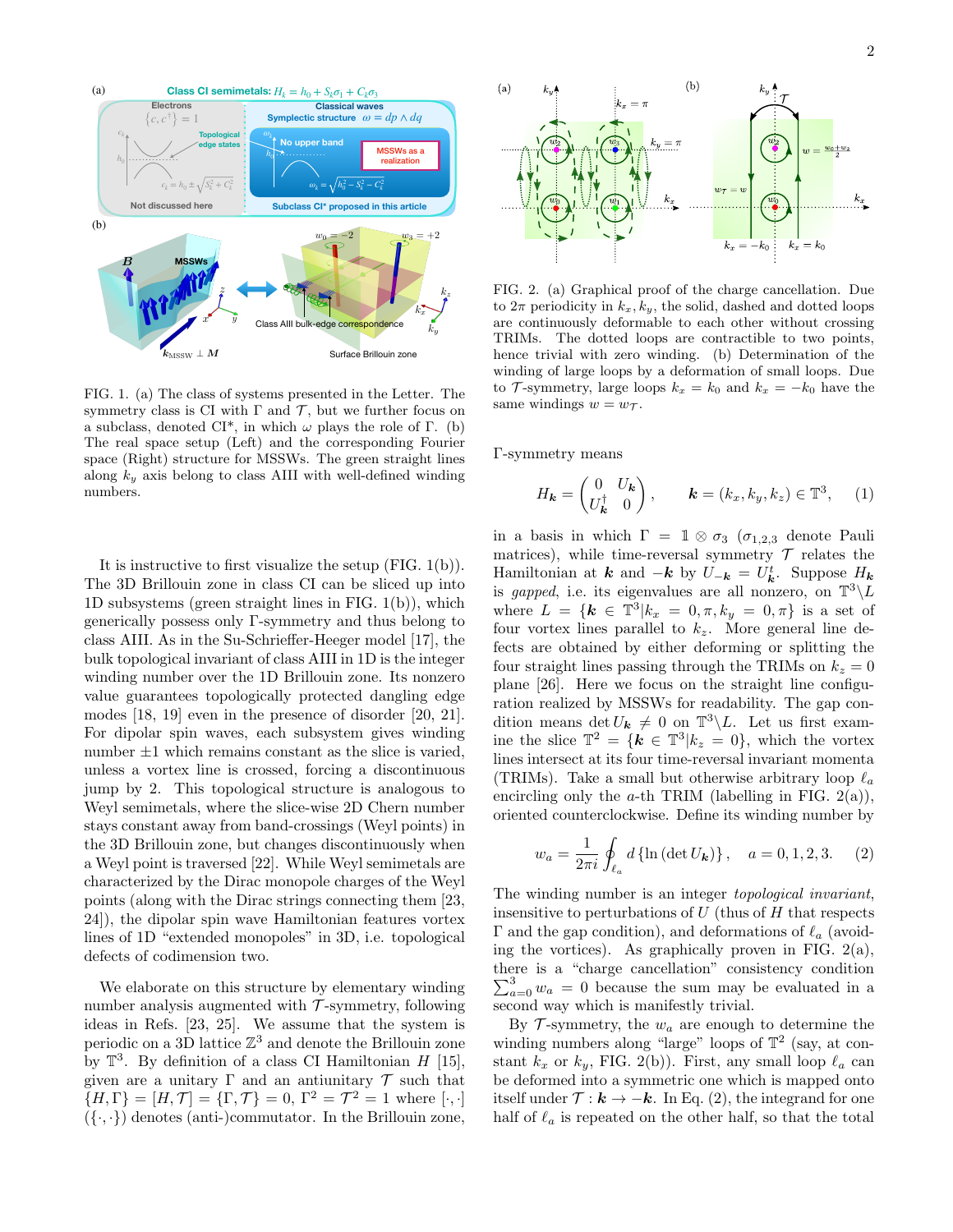

FIG. 1. (a) The class of systems presented in the Letter. The symmetry class is CI with  $\Gamma$  and  $\mathcal{T}$ , but we further focus on a subclass, denoted CI<sup>\*</sup>, in which  $\omega$  plays the role of Γ. (b) The real space setup (Left) and the corresponding Fourier space (Right) structure for MSSWs. The green straight lines along  $k_y$  axis belong to class AIII with well-defined winding numbers.

It is instructive to first visualize the setup (FIG. 1(b)). The 3D Brillouin zone in class CI can be sliced up into 1D subsystems (green straight lines in FIG. 1(b)), which generically possess only Γ-symmetry and thus belong to class AIII. As in the Su-Schrieffer-Heeger model [17], the bulk topological invariant of class AIII in 1D is the integer winding number over the 1D Brillouin zone. Its nonzero value guarantees topologically protected dangling edge modes [18, 19] even in the presence of disorder [20, 21]. For dipolar spin waves, each subsystem gives winding number  $\pm 1$  which remains constant as the slice is varied, unless a vortex line is crossed, forcing a discontinuous jump by 2. This topological structure is analogous to Weyl semimetals, where the slice-wise 2D Chern number stays constant away from band-crossings (Weyl points) in the 3D Brillouin zone, but changes discontinuously when a Weyl point is traversed [22]. While Weyl semimetals are characterized by the Dirac monopole charges of the Weyl points (along with the Dirac strings connecting them [23, 24]), the dipolar spin wave Hamiltonian features vortex lines of 1D "extended monopoles" in 3D, i.e. topological defects of codimension two.

We elaborate on this structure by elementary winding number analysis augmented with  $\mathcal{T}$ -symmetry, following ideas in Refs. [23, 25]. We assume that the system is periodic on a 3D lattice  $\mathbb{Z}^3$  and denote the Brillouin zone by  $\mathbb{T}^3$ . By definition of a class CI Hamiltonian H [15], given are a unitary  $\Gamma$  and an antiunitary  $\mathcal T$  such that  ${H, \Gamma} = [H, \mathcal{T}] = {\Gamma, \mathcal{T}} = 0, \Gamma^2 = \mathcal{T}^2 = 1$  where  $[\cdot, \cdot]$  $({}, , \cdot)$  denotes (anti-)commutator. In the Brillouin zone,



FIG. 2. (a) Graphical proof of the charge cancellation. Due to  $2\pi$  periodicity in  $k_x, k_y$ , the solid, dashed and dotted loops are continuously deformable to each other without crossing TRIMs. The dotted loops are contractible to two points, hence trivial with zero winding. (b) Determination of the winding of large loops by a deformation of small loops. Due to T-symmetry, large loops  $k_x = k_0$  and  $k_x = -k_0$  have the same windings  $w = w_{\mathcal{T}}$ .

Γ-symmetry means

$$
H_{\mathbf{k}} = \begin{pmatrix} 0 & U_{\mathbf{k}} \\ U_{\mathbf{k}}^{\dagger} & 0 \end{pmatrix}, \qquad \mathbf{k} = (k_x, k_y, k_z) \in \mathbb{T}^3, \quad (1)
$$

in a basis in which  $\Gamma = \mathbb{1} \otimes \sigma_3$  ( $\sigma_{1,2,3}$  denote Pauli matrices), while time-reversal symmetry  $\mathcal T$  relates the Hamiltonian at **k** and  $-k$  by  $U_{-k} = U^t_k$ . Suppose  $H_k$ is gapped, i.e. its eigenvalues are all nonzero, on  $\mathbb{T}^3 \backslash L$ where  $L = \{ k \in \mathbb{T}^3 | k_x = 0, \pi, k_y = 0, \pi \}$  is a set of four vortex lines parallel to  $k_z$ . More general line defects are obtained by either deforming or splitting the four straight lines passing through the TRIMs on  $k_z = 0$ plane [26]. Here we focus on the straight line configuration realized by MSSWs for readability. The gap condition means  $\det U_{\mathbf{k}} \neq 0$  on  $\mathbb{T}^3 \backslash L$ . Let us first examine the slice  $\mathbb{T}^2 = \{ \mathbf{k} \in \mathbb{T}^3 | k_z = 0 \}$ , which the vortex lines intersect at its four time-reversal invariant momenta (TRIMs). Take a small but otherwise arbitrary loop  $\ell_a$ encircling only the  $a$ -th TRIM (labelling in FIG. 2(a)), oriented counterclockwise. Define its winding number by

$$
w_a = \frac{1}{2\pi i} \oint_{\ell_a} d \{\ln (\det U_{\mathbf{k}})\}, \quad a = 0, 1, 2, 3. \tag{2}
$$

The winding number is an integer topological invariant, insensitive to perturbations of  $U$  (thus of  $H$  that respects Γ and the gap condition), and deformations of  $\ell_a$  (avoiding the vortices). As graphically proven in FIG.  $2(a)$ , there is a "charge cancellation" consistency condition  $\sum_{a=0}^{3} w_a = 0$  because the sum may be evaluated in a second way which is manifestly trivial.

By  $\mathcal T$ -symmetry, the  $w_a$  are enough to determine the winding numbers along "large" loops of  $\mathbb{T}^2$  (say, at constant  $k_x$  or  $k_y$ , FIG. 2(b)). First, any small loop  $\ell_a$  can be deformed into a symmetric one which is mapped onto itself under  $\mathcal{T} : \mathbf{k} \to -\mathbf{k}$ . In Eq. (2), the integrand for one half of  $\ell_a$  is repeated on the other half, so that the total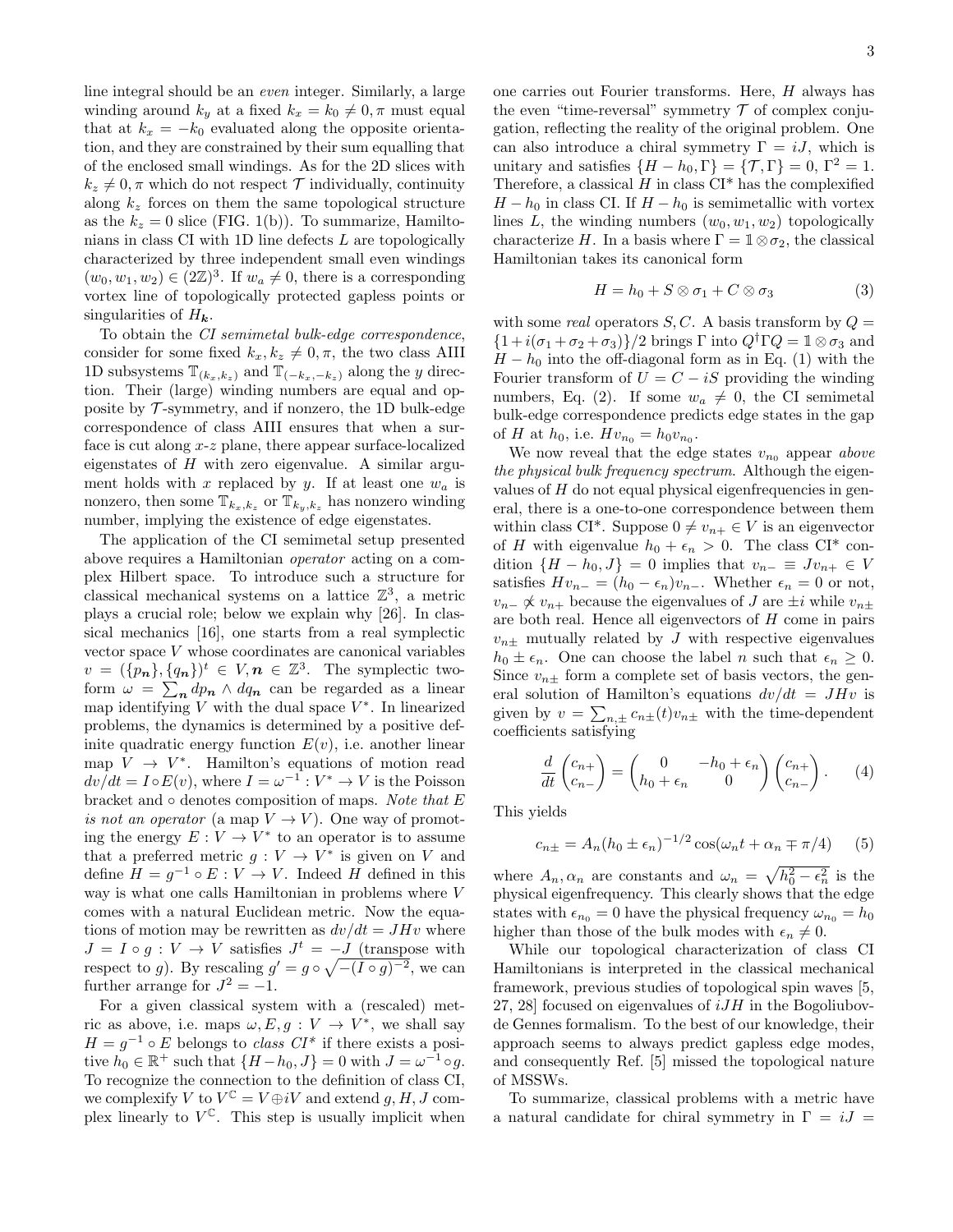line integral should be an even integer. Similarly, a large winding around  $k_y$  at a fixed  $k_x = k_0 \neq 0, \pi$  must equal that at  $k_x = -k_0$  evaluated along the opposite orientation, and they are constrained by their sum equalling that of the enclosed small windings. As for the 2D slices with  $k_z \neq 0$ ,  $\pi$  which do not respect  $\mathcal T$  individually, continuity along  $k_z$  forces on them the same topological structure as the  $k_z = 0$  slice (FIG. 1(b)). To summarize, Hamiltonians in class CI with 1D line defects L are topologically characterized by three independent small even windings  $(w_0, w_1, w_2) \in (2\mathbb{Z})^3$ . If  $w_a \neq 0$ , there is a corresponding vortex line of topologically protected gapless points or singularities of  $H_{\boldsymbol{k}}$ .

To obtain the CI semimetal bulk-edge correspondence, consider for some fixed  $k_x, k_z \neq 0, \pi$ , the two class AIII 1D subsystems  $\mathbb{T}_{(k_x,k_z)}$  and  $\mathbb{T}_{(-k_x,-k_z)}$  along the y direction. Their (large) winding numbers are equal and opposite by  ${\mathcal T}$ -symmetry, and if nonzero, the 1D bulk-edge correspondence of class AIII ensures that when a surface is cut along x-z plane, there appear surface-localized eigenstates of  $H$  with zero eigenvalue. A similar argument holds with x replaced by y. If at least one  $w_a$  is nonzero, then some  $\mathbb{T}_{k_x,k_z}$  or  $\mathbb{T}_{k_y,k_z}$  has nonzero winding number, implying the existence of edge eigenstates.

The application of the CI semimetal setup presented above requires a Hamiltonian operator acting on a complex Hilbert space. To introduce such a structure for classical mechanical systems on a lattice  $\mathbb{Z}^3$ , a metric plays a crucial role; below we explain why [26]. In classical mechanics [16], one starts from a real symplectic vector space V whose coordinates are canonical variables  $v = (\{p_n\}, \{q_n\})^t \in V, n \in \mathbb{Z}^3$ . The symplectic twoform  $\omega = \sum_{n} dp_n \wedge dq_n$  can be regarded as a linear map identifying  $V$  with the dual space  $V^*$ . In linearized problems, the dynamics is determined by a positive definite quadratic energy function  $E(v)$ , i.e. another linear map  $V \rightarrow V^*$ . Hamilton's equations of motion read  $dv/dt = I \circ E(v)$ , where  $I = \omega^{-1} : V^* \to V$  is the Poisson bracket and  $\circ$  denotes composition of maps. Note that E is not an operator (a map  $V \to V$ ). One way of promoting the energy  $E: V \to V^*$  to an operator is to assume that a preferred metric  $g: V \to V^*$  is given on V and define  $H = g^{-1} \circ E : V \to V$ . Indeed H defined in this way is what one calls Hamiltonian in problems where V comes with a natural Euclidean metric. Now the equations of motion may be rewritten as  $dv/dt = JHv$  where  $J = I \circ g : V \to V$  satisfies  $J^t = -J$  (transpose with respect to g). By rescaling  $g' = g \circ \sqrt{-(I \circ g)^{-2}}$ , we can further arrange for  $J^2 = -1$ .

For a given classical system with a (rescaled) metric as above, i.e. maps  $\omega, E, g: V \to V^*$ , we shall say  $H = g^{-1} \circ E$  belongs to *class CI*<sup>\*</sup> if there exists a positive  $h_0 \in \mathbb{R}^+$  such that  $\{H - h_0, J\} = 0$  with  $J = \omega^{-1} \circ g$ . To recognize the connection to the definition of class CI, we complexify  $V$  to  $V^{\mathbb{C}} = V \oplus iV$  and extend  $g, H, J$  complex linearly to  $V^{\mathbb{C}}$ . This step is usually implicit when

one carries out Fourier transforms. Here, H always has the even "time-reversal" symmetry  $\mathcal T$  of complex conjugation, reflecting the reality of the original problem. One can also introduce a chiral symmetry  $\Gamma = iJ$ , which is unitary and satisfies  $\{H - h_0, \Gamma\} = \{\mathcal{T}, \Gamma\} = 0, \Gamma^2 = 1.$ Therefore, a classical  $H$  in class  $CI^*$  has the complexified  $H - h_0$  in class CI. If  $H - h_0$  is semimetallic with vortex lines L, the winding numbers  $(w_0, w_1, w_2)$  topologically characterize H. In a basis where  $\Gamma = \mathbb{1} \otimes \sigma_2$ , the classical Hamiltonian takes its canonical form

$$
H = h_0 + S \otimes \sigma_1 + C \otimes \sigma_3 \tag{3}
$$

with some real operators  $S, C$ . A basis transform by  $Q =$  $\{1+i(\sigma_1+\sigma_2+\sigma_3)\}/2$  brings Γ into  $Q^{\dagger}\Gamma Q = \mathbb{1}\otimes \sigma_3$  and  $H - h_0$  into the off-diagonal form as in Eq. (1) with the Fourier transform of  $U = C - iS$  providing the winding numbers, Eq. (2). If some  $w_a \neq 0$ , the CI semimetal bulk-edge correspondence predicts edge states in the gap of *H* at  $h_0$ , i.e.  $Hv_{n_0} = h_0v_{n_0}$ .

We now reveal that the edge states  $v_{n_0}$  appear above the physical bulk frequency spectrum. Although the eigenvalues of  $H$  do not equal physical eigenfrequencies in general, there is a one-to-one correspondence between them within class CI<sup>\*</sup>. Suppose  $0 \neq v_{n+} \in V$  is an eigenvector of H with eigenvalue  $h_0 + \epsilon_n > 0$ . The class CI<sup>\*</sup> condition  $\{H - h_0, J\} = 0$  implies that  $v_{n-} \equiv Jv_{n+} \in V$ satisfies  $Hv_{n-} = (h_0 - \epsilon_n)v_{n-}$ . Whether  $\epsilon_n = 0$  or not,  $v_{n-} \not\propto v_{n+}$  because the eigenvalues of J are  $\pm i$  while  $v_{n\pm}$ are both real. Hence all eigenvectors of H come in pairs  $v_{n\pm}$  mutually related by J with respective eigenvalues  $h_0 \pm \epsilon_n$ . One can choose the label *n* such that  $\epsilon_n \geq 0$ . Since  $v_{n\pm}$  form a complete set of basis vectors, the general solution of Hamilton's equations  $dv/dt = JHv$  is given by  $v = \sum_{n,\pm} c_{n\pm}(t)v_{n\pm}$  with the time-dependent coefficients satisfying

$$
\frac{d}{dt}\begin{pmatrix}c_{n+}\\c_{n-}\end{pmatrix} = \begin{pmatrix}0&-h_0+\epsilon_n\\h_0+\epsilon_n&0\end{pmatrix}\begin{pmatrix}c_{n+}\\c_{n-}\end{pmatrix}.
$$
 (4)

This yields

$$
c_{n\pm} = A_n (h_0 \pm \epsilon_n)^{-1/2} \cos(\omega_n t + \alpha_n \mp \pi/4) \tag{5}
$$

where  $A_n, \alpha_n$  are constants and  $\omega_n = \sqrt{h_0^2 - \epsilon_n^2}$  is the physical eigenfrequency. This clearly shows that the edge states with  $\epsilon_{n_0} = 0$  have the physical frequency  $\omega_{n_0} = h_0$ higher than those of the bulk modes with  $\epsilon_n \neq 0$ .

While our topological characterization of class CI Hamiltonians is interpreted in the classical mechanical framework, previous studies of topological spin waves [5, 27, 28] focused on eigenvalues of  $iJH$  in the Bogoliubovde Gennes formalism. To the best of our knowledge, their approach seems to always predict gapless edge modes, and consequently Ref. [5] missed the topological nature of MSSWs.

To summarize, classical problems with a metric have a natural candidate for chiral symmetry in  $\Gamma = iJ =$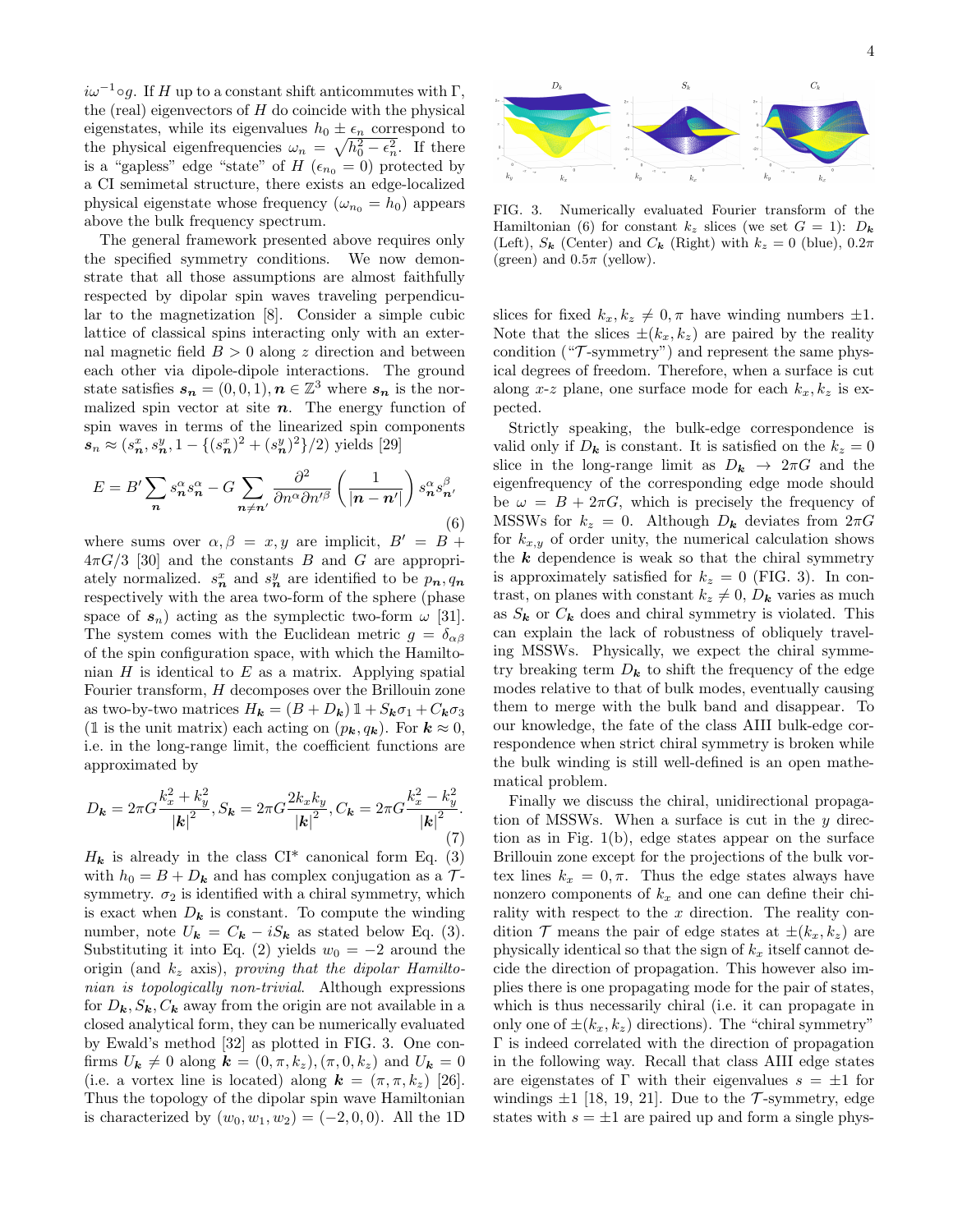$i\omega^{-1} \circ g$ . If H up to a constant shift anticommutes with  $\Gamma$ , the (real) eigenvectors of  $H$  do coincide with the physical eigenstates, while its eigenvalues  $h_0 \pm \epsilon_n$  correspond to the physical eigenfrequencies  $\omega_n = \sqrt{h_0^2 - \epsilon_n^2}$ . If there is a "gapless" edge "state" of H ( $\epsilon_{n_0} = 0$ ) protected by a CI semimetal structure, there exists an edge-localized physical eigenstate whose frequency  $(\omega_{n_0} = h_0)$  appears above the bulk frequency spectrum.

The general framework presented above requires only the specified symmetry conditions. We now demonstrate that all those assumptions are almost faithfully respected by dipolar spin waves traveling perpendicular to the magnetization [8]. Consider a simple cubic lattice of classical spins interacting only with an external magnetic field  $B > 0$  along z direction and between each other via dipole-dipole interactions. The ground state satisfies  $s_n = (0, 0, 1), n \in \mathbb{Z}^3$  where  $s_n$  is the normalized spin vector at site  $n$ . The energy function of spin waves in terms of the linearized spin components  $s_n \approx (s_n^x, s_n^y, 1 - \{(s_n^x)^2 + (s_n^y)^2\}/2)$  yields [29]

$$
E = B' \sum_{n} s_n^{\alpha} s_n^{\alpha} - G \sum_{n \neq n'} \frac{\partial^2}{\partial n^{\alpha} \partial n'^{\beta}} \left( \frac{1}{|n - n'|} \right) s_n^{\alpha} s_n^{\beta},
$$
\n(6)

where sums over  $\alpha, \beta = x, y$  are implicit,  $B' = B +$  $4\pi G/3$  [30] and the constants B and G are appropriately normalized.  $s_n^x$  and  $s_n^y$  are identified to be  $p_n, q_n$ respectively with the area two-form of the sphere (phase space of  $s_n$ ) acting as the symplectic two-form  $\omega$  [31]. The system comes with the Euclidean metric  $g = \delta_{\alpha\beta}$ of the spin configuration space, with which the Hamiltonian  $H$  is identical to  $E$  as a matrix. Applying spatial Fourier transform, H decomposes over the Brillouin zone as two-by-two matrices  $H_{\mathbf{k}} = (B + D_{\mathbf{k}}) \mathbb{1} + S_{\mathbf{k}} \sigma_1 + C_{\mathbf{k}} \sigma_3$ (1 is the unit matrix) each acting on  $(p_k, q_k)$ . For  $k \approx 0$ , i.e. in the long-range limit, the coefficient functions are approximated by

$$
D_{\mathbf{k}} = 2\pi G \frac{k_x^2 + k_y^2}{|\mathbf{k}|^2}, S_{\mathbf{k}} = 2\pi G \frac{2k_x k_y}{|\mathbf{k}|^2}, C_{\mathbf{k}} = 2\pi G \frac{k_x^2 - k_y^2}{|\mathbf{k}|^2}.
$$
\n(7)

 $H_k$  is already in the class CI<sup>\*</sup> canonical form Eq. (3) with  $h_0 = B + D_k$  and has complex conjugation as a  $\mathcal{T}$ symmetry.  $\sigma_2$  is identified with a chiral symmetry, which is exact when  $D_k$  is constant. To compute the winding number, note  $U_{\mathbf{k}} = C_{\mathbf{k}} - iS_{\mathbf{k}}$  as stated below Eq. (3). Substituting it into Eq. (2) yields  $w_0 = -2$  around the origin (and  $k_z$  axis), proving that the dipolar Hamiltonian is topologically non-trivial. Although expressions for  $D_k$ ,  $S_k$ ,  $C_k$  away from the origin are not available in a closed analytical form, they can be numerically evaluated by Ewald's method [32] as plotted in FIG. 3. One confirms  $U_k \neq 0$  along  $k = (0, \pi, k_z), (\pi, 0, k_z)$  and  $U_k = 0$ (i.e. a vortex line is located) along  $\mathbf{k} = (\pi, \pi, k_z)$  [26]. Thus the topology of the dipolar spin wave Hamiltonian is characterized by  $(w_0, w_1, w_2) = (-2, 0, 0)$ . All the 1D



FIG. 3. Numerically evaluated Fourier transform of the Hamiltonian (6) for constant  $k_z$  slices (we set  $G = 1$ ):  $D_k$ (Left),  $S_{\mathbf{k}}$  (Center) and  $C_{\mathbf{k}}$  (Right) with  $k_z = 0$  (blue),  $0.2\pi$ (green) and  $0.5\pi$  (yellow).

slices for fixed  $k_x, k_z \neq 0, \pi$  have winding numbers  $\pm 1$ . Note that the slices  $\pm (k_x, k_z)$  are paired by the reality condition  $({}^{\omega}T\text{-symmetry}^{\omega})$  and represent the same physical degrees of freedom. Therefore, when a surface is cut along x-z plane, one surface mode for each  $k_x, k_z$  is expected.

Strictly speaking, the bulk-edge correspondence is valid only if  $D_k$  is constant. It is satisfied on the  $k_z = 0$ slice in the long-range limit as  $D_k \rightarrow 2\pi G$  and the eigenfrequency of the corresponding edge mode should be  $\omega = B + 2\pi G$ , which is precisely the frequency of MSSWs for  $k_z = 0$ . Although  $D_k$  deviates from  $2\pi G$ for  $k_{x,y}$  of order unity, the numerical calculation shows the  $k$  dependence is weak so that the chiral symmetry is approximately satisfied for  $k_z = 0$  (FIG. 3). In contrast, on planes with constant  $k_z \neq 0$ ,  $D_k$  varies as much as  $S_k$  or  $C_k$  does and chiral symmetry is violated. This can explain the lack of robustness of obliquely traveling MSSWs. Physically, we expect the chiral symmetry breaking term  $D_k$  to shift the frequency of the edge modes relative to that of bulk modes, eventually causing them to merge with the bulk band and disappear. To our knowledge, the fate of the class AIII bulk-edge correspondence when strict chiral symmetry is broken while the bulk winding is still well-defined is an open mathematical problem.

Finally we discuss the chiral, unidirectional propagation of MSSWs. When a surface is cut in the  $y$  direction as in Fig. 1(b), edge states appear on the surface Brillouin zone except for the projections of the bulk vortex lines  $k_x = 0, \pi$ . Thus the edge states always have nonzero components of  $k_x$  and one can define their chirality with respect to the  $x$  direction. The reality condition  $\mathcal T$  means the pair of edge states at  $\pm (k_x, k_z)$  are physically identical so that the sign of  $k_x$  itself cannot decide the direction of propagation. This however also implies there is one propagating mode for the pair of states, which is thus necessarily chiral (i.e. it can propagate in only one of  $\pm (k_x, k_z)$  directions). The "chiral symmetry" Γ is indeed correlated with the direction of propagation in the following way. Recall that class AIII edge states are eigenstates of Γ with their eigenvalues  $s = \pm 1$  for windings  $\pm 1$  [18, 19, 21]. Due to the T-symmetry, edge states with  $s = \pm 1$  are paired up and form a single phys